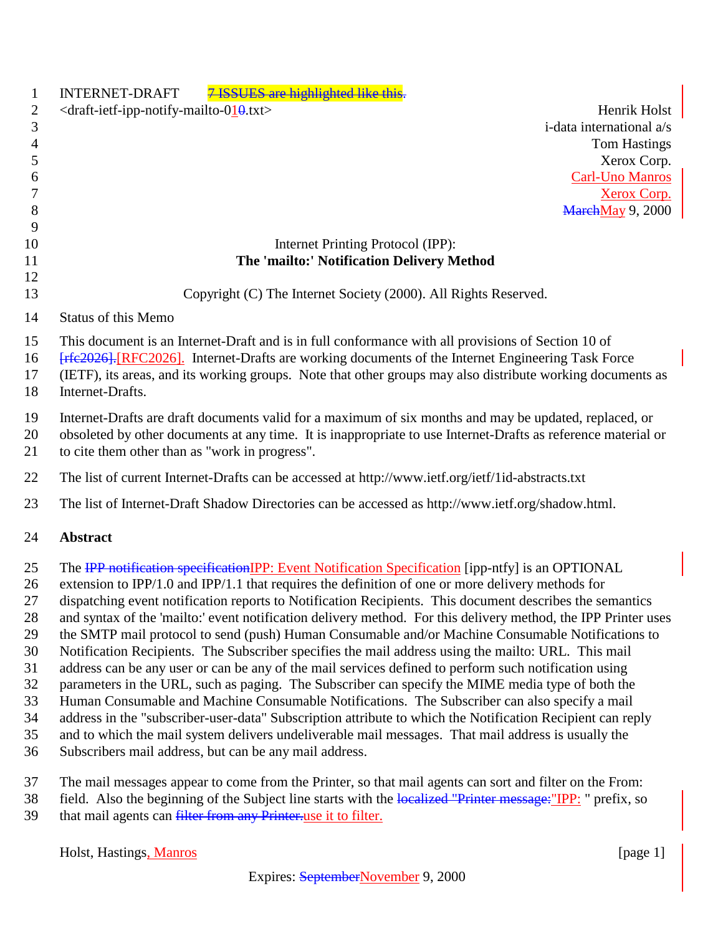| $\mathbf{1}$         | 7 ISSUES are highlighted like this.<br><b>INTERNET-DRAFT</b>                                                                                                                                                                                                                                                                              |
|----------------------|-------------------------------------------------------------------------------------------------------------------------------------------------------------------------------------------------------------------------------------------------------------------------------------------------------------------------------------------|
| $\overline{2}$       | $\langle$ draft-ietf-ipp-notify-mailto-010.txt><br>Henrik Holst                                                                                                                                                                                                                                                                           |
| $\mathfrak{Z}$       | i-data international a/s                                                                                                                                                                                                                                                                                                                  |
| $\overline{4}$       | <b>Tom Hastings</b>                                                                                                                                                                                                                                                                                                                       |
| 5<br>6               | Xerox Corp.<br><b>Carl-Uno Manros</b>                                                                                                                                                                                                                                                                                                     |
| 7                    | <b>Xerox Corp.</b>                                                                                                                                                                                                                                                                                                                        |
| 8                    | MarchMay 9, 2000                                                                                                                                                                                                                                                                                                                          |
| 9                    |                                                                                                                                                                                                                                                                                                                                           |
| 10                   | Internet Printing Protocol (IPP):                                                                                                                                                                                                                                                                                                         |
| 11<br>12             | The 'mailto:' Notification Delivery Method                                                                                                                                                                                                                                                                                                |
| 13                   | Copyright (C) The Internet Society (2000). All Rights Reserved.                                                                                                                                                                                                                                                                           |
| 14                   | <b>Status of this Memo</b>                                                                                                                                                                                                                                                                                                                |
| 15<br>16<br>17<br>18 | This document is an Internet-Draft and is in full conformance with all provisions of Section 10 of<br>[rfe2026]-[RFC2026]. Internet-Drafts are working documents of the Internet Engineering Task Force<br>(IETF), its areas, and its working groups. Note that other groups may also distribute working documents as<br>Internet-Drafts. |
| 19<br>20<br>21       | Internet-Drafts are draft documents valid for a maximum of six months and may be updated, replaced, or<br>obsoleted by other documents at any time. It is inappropriate to use Internet-Drafts as reference material or<br>to cite them other than as "work in progress".                                                                 |
| 22                   | The list of current Internet-Drafts can be accessed at http://www.ietf.org/ietf/1id-abstracts.txt                                                                                                                                                                                                                                         |
| 23                   | The list of Internet-Draft Shadow Directories can be accessed as http://www.ietf.org/shadow.html.                                                                                                                                                                                                                                         |
| 24                   | Abstract                                                                                                                                                                                                                                                                                                                                  |
| 25                   | The IPP notification specification IPP: Event Notification Specification [ipp-ntfy] is an OPTIONAL                                                                                                                                                                                                                                        |
| 26                   | extension to IPP/1.0 and IPP/1.1 that requires the definition of one or more delivery methods for                                                                                                                                                                                                                                         |
| 27                   | dispatching event notification reports to Notification Recipients. This document describes the semantics                                                                                                                                                                                                                                  |
| 28                   | and syntax of the 'mailto:' event notification delivery method. For this delivery method, the IPP Printer uses                                                                                                                                                                                                                            |
| 29                   | the SMTP mail protocol to send (push) Human Consumable and/or Machine Consumable Notifications to                                                                                                                                                                                                                                         |
| 30                   | Notification Recipients. The Subscriber specifies the mail address using the mailto: URL. This mail                                                                                                                                                                                                                                       |
| 31                   | address can be any user or can be any of the mail services defined to perform such notification using                                                                                                                                                                                                                                     |
| 32                   | parameters in the URL, such as paging. The Subscriber can specify the MIME media type of both the                                                                                                                                                                                                                                         |
| 33<br>34             | Human Consumable and Machine Consumable Notifications. The Subscriber can also specify a mail<br>address in the "subscriber-user-data" Subscription attribute to which the Notification Recipient can reply                                                                                                                               |
| 35                   | and to which the mail system delivers undeliverable mail messages. That mail address is usually the                                                                                                                                                                                                                                       |
| 36                   | Subscribers mail address, but can be any mail address.                                                                                                                                                                                                                                                                                    |
|                      |                                                                                                                                                                                                                                                                                                                                           |

- The mail messages appear to come from the Printer, so that mail agents can sort and filter on the From:
- 38 field. Also the beginning of the Subject line starts with the localized "Printer message: "IPP: " prefix, so
- 39 that mail agents can filter from any Printer.use it to filter.

Holst, Hastings<u>, Manros</u> [page 1]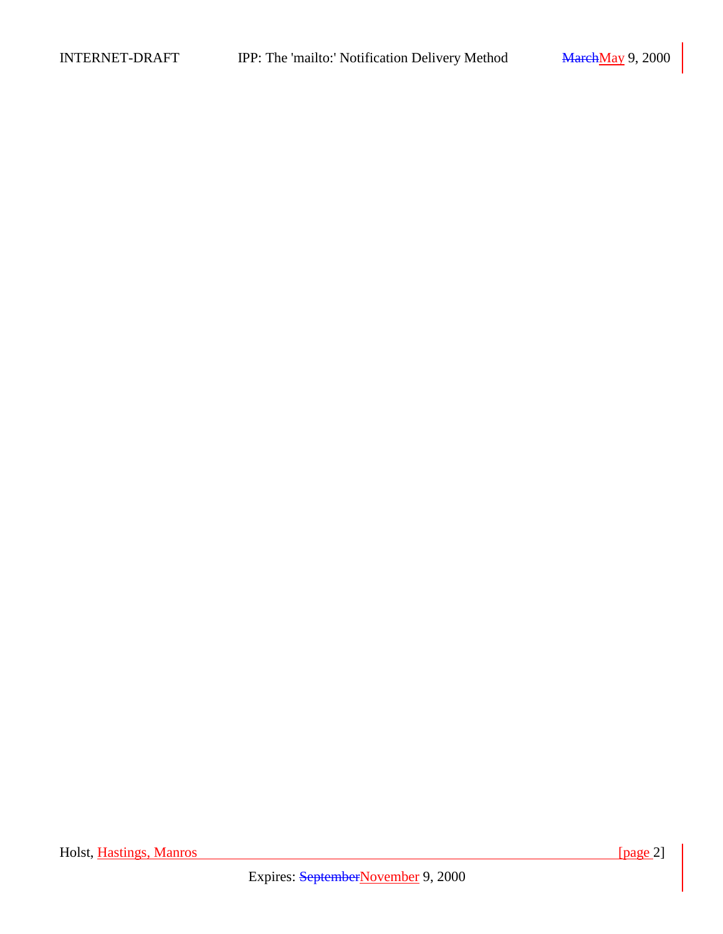Holst, Hastings, Manros [page 2]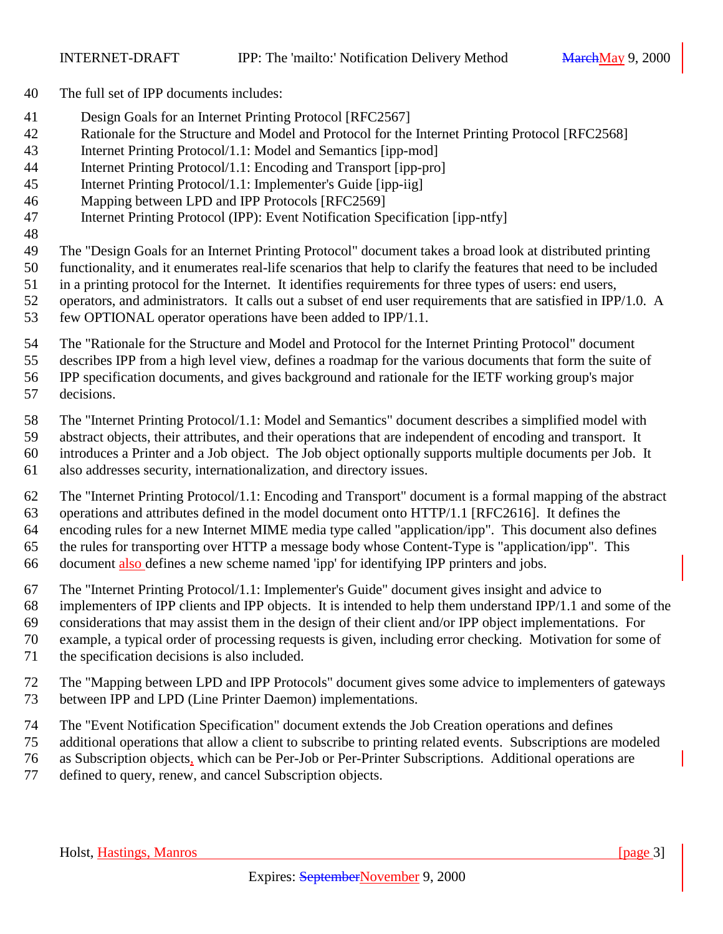- The full set of IPP documents includes:
- Design Goals for an Internet Printing Protocol [RFC2567]
- Rationale for the Structure and Model and Protocol for the Internet Printing Protocol [RFC2568]
- Internet Printing Protocol/1.1: Model and Semantics [ipp-mod]
- Internet Printing Protocol/1.1: Encoding and Transport [ipp-pro]
- Internet Printing Protocol/1.1: Implementer's Guide [ipp-iig]
- Mapping between LPD and IPP Protocols [RFC2569]
- Internet Printing Protocol (IPP): Event Notification Specification [ipp-ntfy]
- 
- The "Design Goals for an Internet Printing Protocol" document takes a broad look at distributed printing
- functionality, and it enumerates real-life scenarios that help to clarify the features that need to be included
- in a printing protocol for the Internet. It identifies requirements for three types of users: end users,
- operators, and administrators. It calls out a subset of end user requirements that are satisfied in IPP/1.0. A few OPTIONAL operator operations have been added to IPP/1.1.
- The "Rationale for the Structure and Model and Protocol for the Internet Printing Protocol" document
- describes IPP from a high level view, defines a roadmap for the various documents that form the suite of
- IPP specification documents, and gives background and rationale for the IETF working group's major
- decisions.
- The "Internet Printing Protocol/1.1: Model and Semantics" document describes a simplified model with
- abstract objects, their attributes, and their operations that are independent of encoding and transport. It
- introduces a Printer and a Job object. The Job object optionally supports multiple documents per Job. It
- also addresses security, internationalization, and directory issues.
- The "Internet Printing Protocol/1.1: Encoding and Transport" document is a formal mapping of the abstract operations and attributes defined in the model document onto HTTP/1.1 [RFC2616]. It defines the encoding rules for a new Internet MIME media type called "application/ipp". This document also defines the rules for transporting over HTTP a message body whose Content-Type is "application/ipp". This document also defines a new scheme named 'ipp' for identifying IPP printers and jobs.
- The "Internet Printing Protocol/1.1: Implementer's Guide" document gives insight and advice to
- implementers of IPP clients and IPP objects. It is intended to help them understand IPP/1.1 and some of the
- considerations that may assist them in the design of their client and/or IPP object implementations. For
- example, a typical order of processing requests is given, including error checking. Motivation for some of
- the specification decisions is also included.
- The "Mapping between LPD and IPP Protocols" document gives some advice to implementers of gateways between IPP and LPD (Line Printer Daemon) implementations.
- The "Event Notification Specification" document extends the Job Creation operations and defines
- additional operations that allow a client to subscribe to printing related events. Subscriptions are modeled
- as Subscription objects, which can be Per-Job or Per-Printer Subscriptions. Additional operations are
- defined to query, renew, and cancel Subscription objects.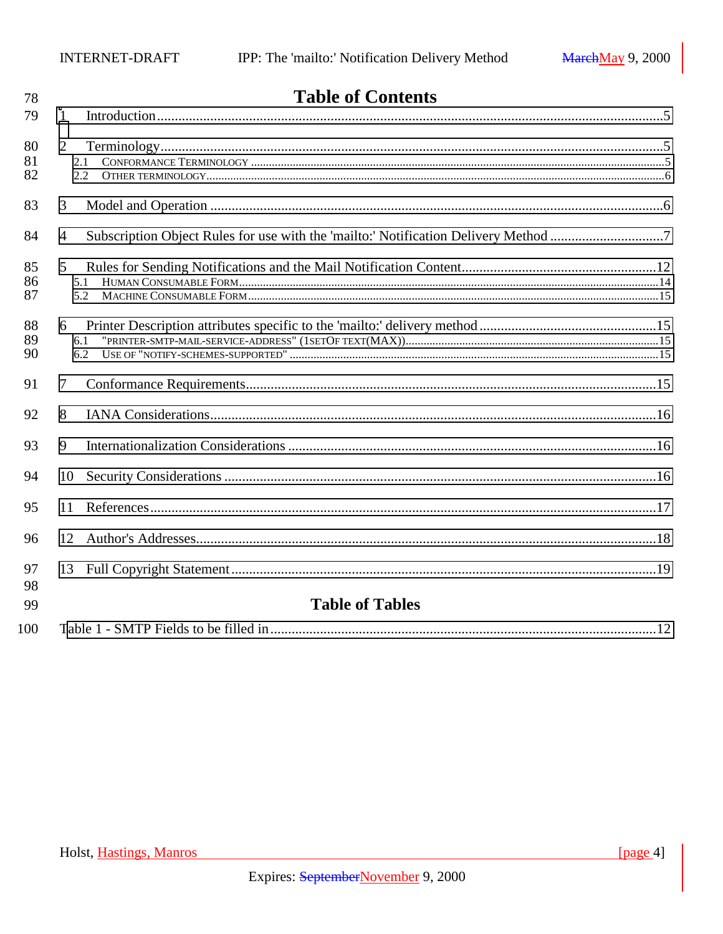| 78             | <b>Table of Contents</b>                                                                              |  |  |
|----------------|-------------------------------------------------------------------------------------------------------|--|--|
| 79             | $\mathbf{1}$                                                                                          |  |  |
| 80<br>81<br>82 | $\overline{2}$<br>2.1<br>2.2                                                                          |  |  |
| 83             | 3                                                                                                     |  |  |
| 84             | Subscription Object Rules for use with the 'mailto:' Notification Delivery Method 7<br>$\overline{4}$ |  |  |
| 85<br>86<br>87 | 5<br>5.2                                                                                              |  |  |
| 88<br>89<br>90 | 6<br>6.1<br>6.2                                                                                       |  |  |
| 91             | 7                                                                                                     |  |  |
| 92             | 8                                                                                                     |  |  |
| 93             | 9                                                                                                     |  |  |
| 94             | 10                                                                                                    |  |  |
| 95             | 11                                                                                                    |  |  |
| 96             | 12                                                                                                    |  |  |
| 97<br>98       | 13                                                                                                    |  |  |
| 99             | <b>Table of Tables</b>                                                                                |  |  |
| 100            |                                                                                                       |  |  |

#### $\sim$   $\sim$  $\sim$   $\sim$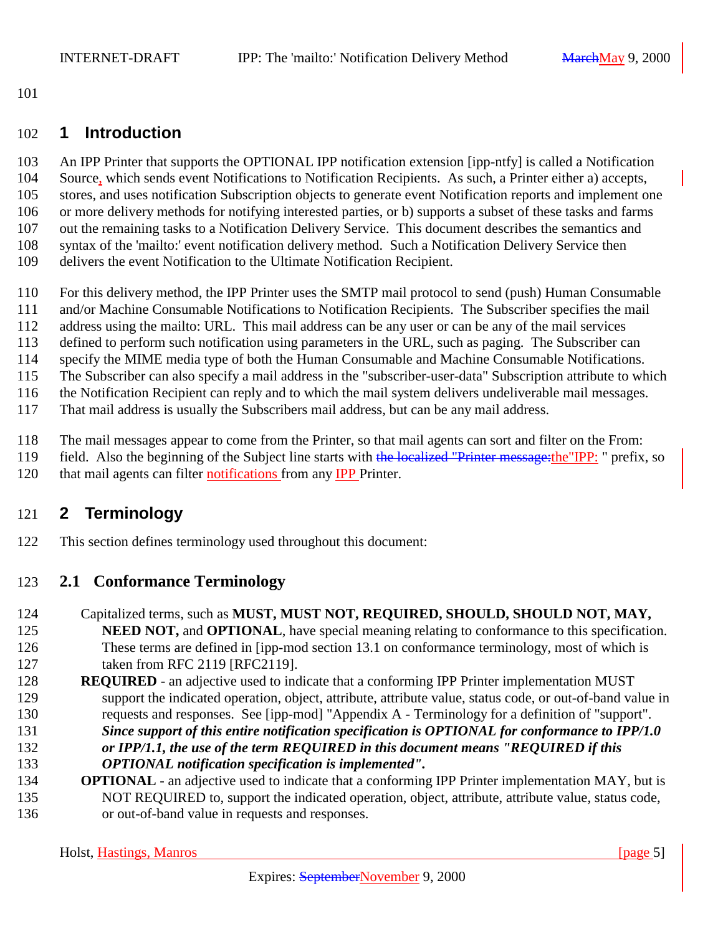<span id="page-4-0"></span>

#### **1 Introduction**

 An IPP Printer that supports the OPTIONAL IPP notification extension [ipp-ntfy] is called a Notification Source, which sends event Notifications to Notification Recipients. As such, a Printer either a) accepts, stores, and uses notification Subscription objects to generate event Notification reports and implement one or more delivery methods for notifying interested parties, or b) supports a subset of these tasks and farms out the remaining tasks to a Notification Delivery Service. This document describes the semantics and syntax of the 'mailto:' event notification delivery method. Such a Notification Delivery Service then delivers the event Notification to the Ultimate Notification Recipient.

For this delivery method, the IPP Printer uses the SMTP mail protocol to send (push) Human Consumable

- and/or Machine Consumable Notifications to Notification Recipients. The Subscriber specifies the mail
- address using the mailto: URL. This mail address can be any user or can be any of the mail services
- defined to perform such notification using parameters in the URL, such as paging. The Subscriber can
- specify the MIME media type of both the Human Consumable and Machine Consumable Notifications.

 The Subscriber can also specify a mail address in the "subscriber-user-data" Subscription attribute to which the Notification Recipient can reply and to which the mail system delivers undeliverable mail messages.

That mail address is usually the Subscribers mail address, but can be any mail address.

The mail messages appear to come from the Printer, so that mail agents can sort and filter on the From:

- 119 field. Also the beginning of the Subject line starts with the localized "Printer message: the "IPP: " prefix, so
- 120 that mail agents can filter notifications from any **IPP** Printer.

# **2 Terminology**

This section defines terminology used throughout this document:

# **2.1 Conformance Terminology**

- Capitalized terms, such as **MUST, MUST NOT, REQUIRED, SHOULD, SHOULD NOT, MAY, NEED NOT, and OPTIONAL**, have special meaning relating to conformance to this specification. These terms are defined in [ipp-mod section 13.1 on conformance terminology, most of which is 127 taken from RFC 2119 [RFC2119].
- **REQUIRED**  an adjective used to indicate that a conforming IPP Printer implementation MUST support the indicated operation, object, attribute, attribute value, status code, or out-of-band value in requests and responses. See [ipp-mod] "Appendix A - Terminology for a definition of "support". *Since support of this entire notification specification is OPTIONAL for conformance to IPP/1.0 or IPP/1.1, the use of the term REQUIRED in this document means "REQUIRED if this OPTIONAL notification specification is implemented".*
- **OPTIONAL** an adjective used to indicate that a conforming IPP Printer implementation MAY, but is NOT REQUIRED to, support the indicated operation, object, attribute, attribute value, status code, or out-of-band value in requests and responses.

Holst, Hastings, Manros [page 5]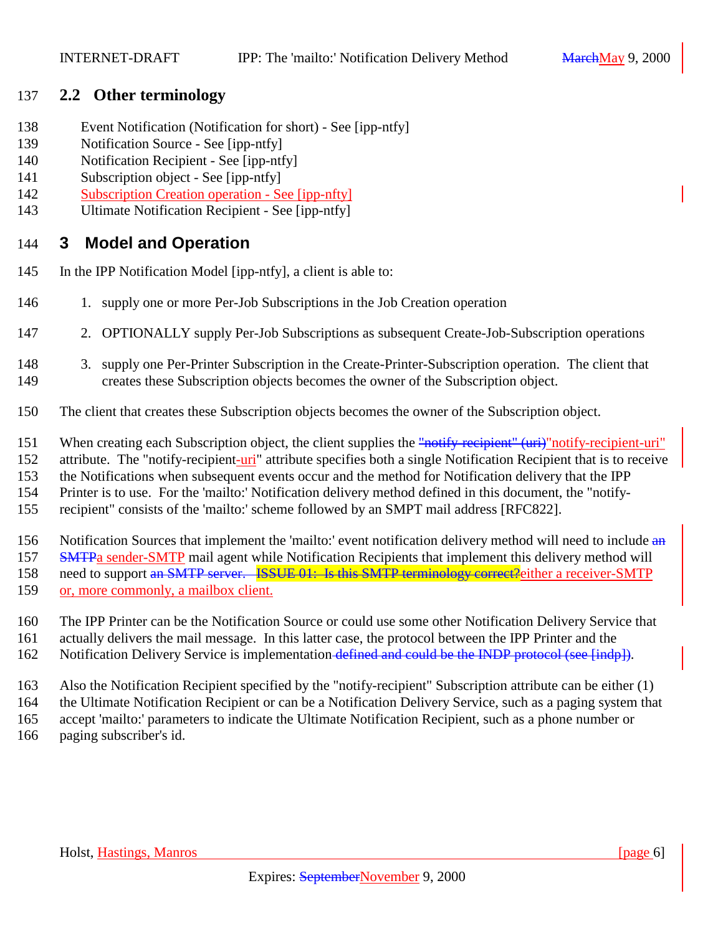### <span id="page-5-0"></span>**2.2 Other terminology**

- Event Notification (Notification for short) See [ipp-ntfy]
- Notification Source See [ipp-ntfy]
- Notification Recipient See [ipp-ntfy]
- Subscription object See [ipp-ntfy]
- Subscription Creation operation See [ipp-nfty]
- Ultimate Notification Recipient See [ipp-ntfy]

### **3 Model and Operation**

- In the IPP Notification Model [ipp-ntfy], a client is able to:
- 1. supply one or more Per-Job Subscriptions in the Job Creation operation
- 2. OPTIONALLY supply Per-Job Subscriptions as subsequent Create-Job-Subscription operations
- 3. supply one Per-Printer Subscription in the Create-Printer-Subscription operation. The client that creates these Subscription objects becomes the owner of the Subscription object.
- The client that creates these Subscription objects becomes the owner of the Subscription object.
- 151 When creating each Subscription object, the client supplies the "notify-recipient" (uri)"notify-recipient-uri"
- 152 attribute. The "notify-recipient-uri" attribute specifies both a single Notification Recipient that is to receive
- the Notifications when subsequent events occur and the method for Notification delivery that the IPP
- Printer is to use. For the 'mailto:' Notification delivery method defined in this document, the "notify-
- recipient" consists of the 'mailto:' scheme followed by an SMPT mail address [RFC822].

156 Notification Sources that implement the 'mailto:' event notification delivery method will need to include an SMTPa sender-SMTP mail agent while Notification Recipients that implement this delivery method will 158 need to support an SMTP server. **ISSUE 01:** Is this SMTP terminology correct? either a receiver-SMTP or, more commonly, a mailbox client.

- The IPP Printer can be the Notification Source or could use some other Notification Delivery Service that
- actually delivers the mail message. In this latter case, the protocol between the IPP Printer and the
- 162 Notification Delivery Service is implementation defined and could be the INDP protocol (see [indp]).
- Also the Notification Recipient specified by the "notify-recipient" Subscription attribute can be either (1)
- the Ultimate Notification Recipient or can be a Notification Delivery Service, such as a paging system that
- accept 'mailto:' parameters to indicate the Ultimate Notification Recipient, such as a phone number or
- paging subscriber's id.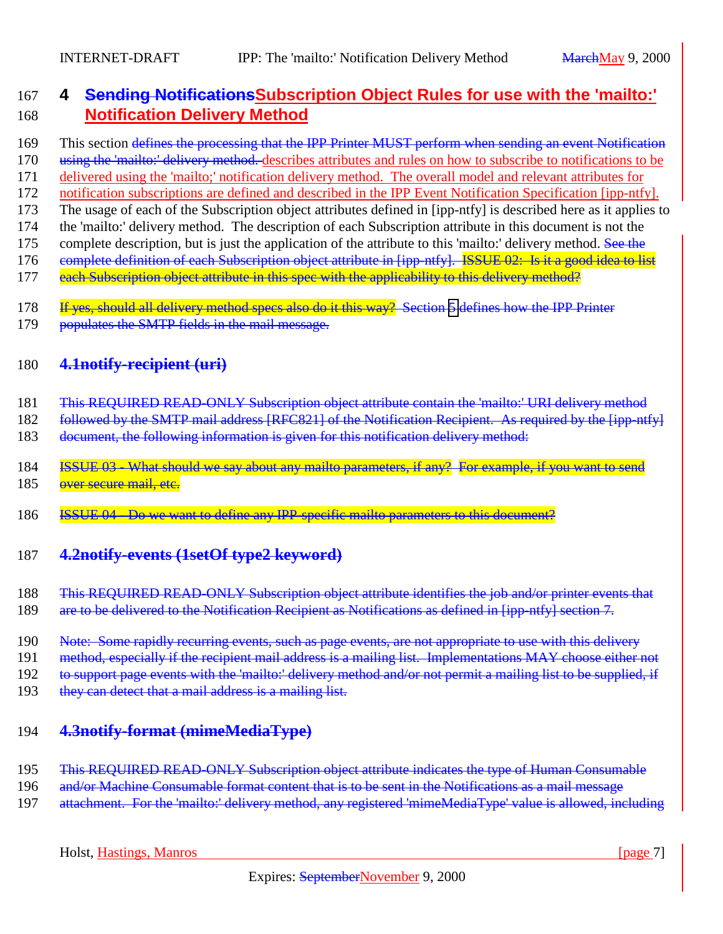### <span id="page-6-0"></span>167 **4 Sending NotificationsSubscription Object Rules for use with the 'mailto:'** 168 **Notification Delivery Method**

169 This section defines the processing that the IPP Printer MUST perform when sending an event Notification

170 using the 'mailto:' delivery method. describes attributes and rules on how to subscribe to notifications to be

171 delivered using the 'mailto;' notification delivery method. The overall model and relevant attributes for

172 notification subscriptions are defined and described in the IPP Event Notification Specification [ipp-ntfy].

173 The usage of each of the Subscription object attributes defined in [ipp-ntfy] is described here as it applies to

174 the 'mailto:' delivery method. The description of each Subscription attribute in this document is not the

175 complete description, but is just the application of the attribute to this 'mailto:' delivery method. See the

176 complete definition of each Subscription object attribute in [ipp-ntfy]. **ISSUE 02:** Is it a good idea to list

- 177 each Subscription object attribute in this spec with the applicability to this delivery method?
- 178 If yes, should all delivery method specs also do it this way? Section [5](#page-9-0) defines how the IPP Printer
- 179 populates the SMTP fields in the mail message.

# 180 **4.1notify-recipient (uri)**

### 181 This REQUIRED READ-ONLY Subscription object attribute contain the 'mailto:' URI delivery method

182 followed by the SMTP mail address [RFC821] of the Notification Recipient. As required by the [ipp-ntfy]

183 document, the following information is given for this notification delivery method:

184 ISSUE 03 - What should we say about any mailto parameters, if any? For example, if you want to send 185 over secure mail, etc.

186 ISSUE 04 - Do we want to define any IPP-specific mailto parameters to this document?

# 187 **4.2notify-events (1setOf type2 keyword)**

### 188 This REQUIRED READ-ONLY Subscription object attribute identifies the job and/or printer events that

- 189 are to be delivered to the Notification Recipient as Notifications as defined in [ipp-ntfy] section 7.
- 190 Note: Some rapidly recurring events, such as page events, are not appropriate to use with this delivery
- 191 method, especially if the recipient mail address is a mailing list. Implementations MAY choose either not

192 to support page events with the 'mailto:' delivery method and/or not permit a mailing list to be supplied, if

193 they can detect that a mail address is a mailing list.

# 194 **4.3notify-format (mimeMediaType)**

- 195 This REQUIRED READ-ONLY Subscription object attribute indicates the type of Human Consumable
- 196 and/or Machine Consumable format content that is to be sent in the Notifications as a mail message
- 197 attachment. For the 'mailto:' delivery method, any registered 'mimeMediaType' value is allowed, including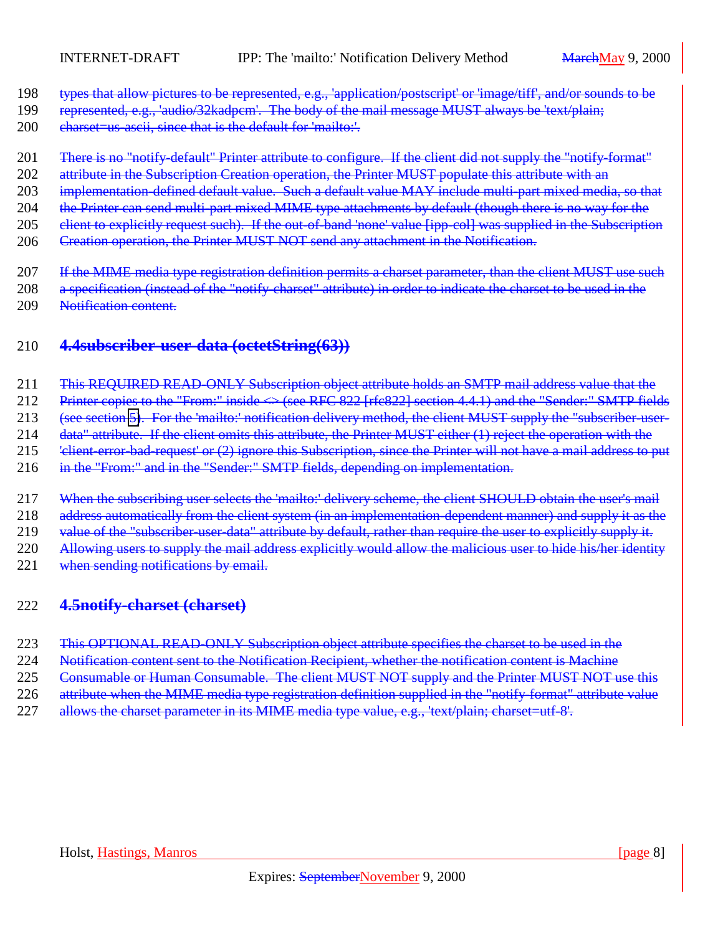<span id="page-7-0"></span>

- 198 types that allow pictures to be represented, e.g., 'application/postscript' or 'image/tiff', and/or sounds to be
- 199 represented, e.g., 'audio/32kadpcm'. The body of the mail message MUST always be 'text/plain;
- 200 charset=us-ascii, since that is the default for 'mailto:'.
- 201 There is no "notify-default" Printer attribute to configure. If the client did not supply the "notify-format"
- 202 attribute in the Subscription Creation operation, the Printer MUST populate this attribute with an
- 203 implementation-defined default value. Such a default value MAY include multi-part mixed media, so that
- 204 the Printer can send multi-part mixed MIME type attachments by default (though there is no way for the
- 205 elient to explicitly request such). If the out-of-band 'none' value [ipp-col] was supplied in the Subscription
- 206 Creation operation, the Printer MUST NOT send any attachment in the Notification.
- 207 If the MIME media type registration definition permits a charset parameter, than the client MUST use such
- 208 a specification (instead of the "notify-charset" attribute) in order to indicate the charset to be used in the 209 Notification content.

# 210 **4.4subscriber-user-data (octetString(63))**

- 211 This REQUIRED READ-ONLY Subscription object attribute holds an SMTP mail address value that the
- 212 Printer copies to the "From:" inside  $\iff$  (see RFC 822 [rfc822] section 4.4.1) and the "Sender:" SMTP fields
- 213 (see section [5\)](#page-9-0). For the 'mailto:' notification delivery method, the client MUST supply the "subscriber-user-
- 214 data" attribute. If the client omits this attribute, the Printer MUST either (1) reject the operation with the
- 215 'elient-error-bad-request' or (2) ignore this Subscription, since the Printer will not have a mail address to put
- 216 in the "From:" and in the "Sender:" SMTP fields, depending on implementation.
- 217 When the subscribing user selects the 'mailto:' delivery scheme, the client SHOULD obtain the user's mail
- 218 address automatically from the client system (in an implementation-dependent manner) and supply it as the
- 219 value of the "subscriber-user-data" attribute by default, rather than require the user to explicitly supply it.
- 220 Allowing users to supply the mail address explicitly would allow the malicious user to hide his/her identity
- 221 when sending notifications by email.

# 222 **4.5notify-charset (charset)**

- 223 This OPTIONAL READ-ONLY Subscription object attribute specifies the charset to be used in the
- 224 Notification content sent to the Notification Recipient, whether the notification content is Machine
- 225 Consumable or Human Consumable. The client MUST NOT supply and the Printer MUST NOT use this
- 226 attribute when the MIME media type registration definition supplied in the "notify-format" attribute value
- 227 allows the charset parameter in its MIME media type value, e.g., 'text/plain; charset=utf-8'.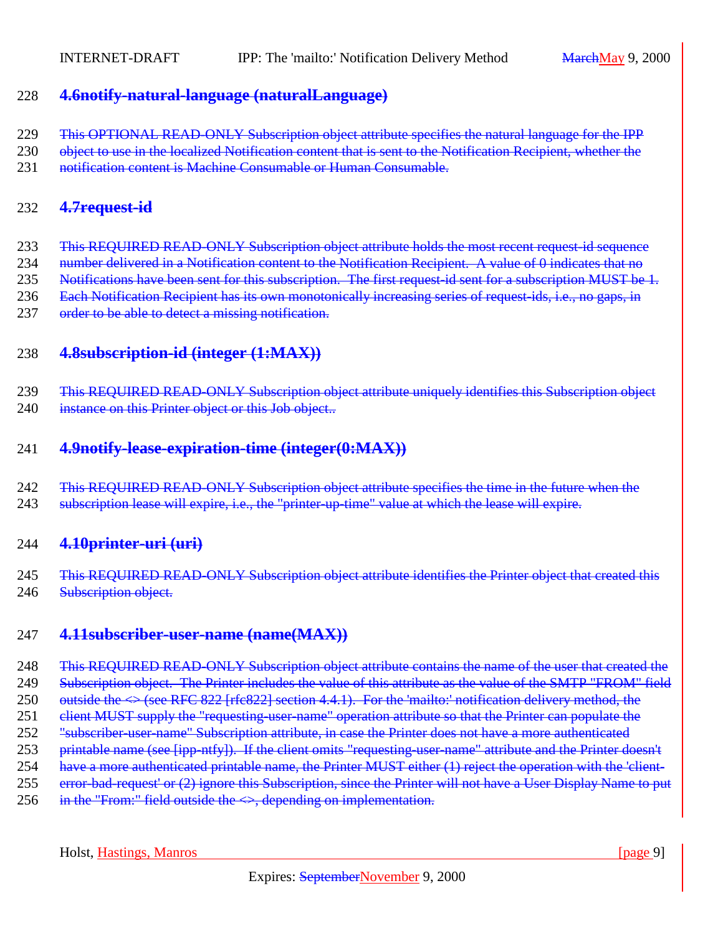#### <span id="page-8-0"></span>228 **4.6notify-natural-language (naturalLanguage)**

- 229 This OPTIONAL READ-ONLY Subscription object attribute specifies the natural language for the IPP
- 230 object to use in the localized Notification content that is sent to the Notification Recipient, whether the
- 231 notification content is Machine Consumable or Human Consumable.

#### 232 **4.7request-id**

- 233 This REQUIRED READ-ONLY Subscription object attribute holds the most recent request-id sequence
- 234 number delivered in a Notification content to the Notification Recipient. A value of 0 indicates that no
- 235 Notifications have been sent for this subscription. The first request-id sent for a subscription MUST be 1.
- 236 Each Notification Recipient has its own monotonically increasing series of request-ids, i.e., no gaps, in
- 237 order to be able to detect a missing notification.

#### 238 **4.8subscription-id (integer (1:MAX))**

239 This REQUIRED READ-ONLY Subscription object attribute uniquely identifies this Subscription object 240 instance on this Printer object or this Job object...

#### 241 **4.9notify-lease-expiration-time (integer(0:MAX))**

- 242 This REQUIRED READ-ONLY Subscription object attribute specifies the time in the future when the
- 243 subscription lease will expire, i.e., the "printer-up-time" value at which the lease will expire.

### 244 **4.10printer-uri (uri)**

- 245 This REQUIRED READ-ONLY Subscription object attribute identifies the Printer object that created this
- 246 Subscription object.

### 247 **4.11subscriber-user-name (name(MAX))**

- 248 This REQUIRED READ-ONLY Subscription object attribute contains the name of the user that created the
- 249 Subscription object. The Printer includes the value of this attribute as the value of the SMTP "FROM" field
- 250 outside the  $\leftrightarrow$  (see RFC 822 [rfc822] section 4.4.1). For the 'mailto:' notification delivery method, the
- 251 elient MUST supply the "requesting-user-name" operation attribute so that the Printer can populate the
- 252 "subscriber-user-name" Subscription attribute, in case the Printer does not have a more authenticated
- 253 printable name (see [ipp-ntfy]). If the client omits "requesting-user-name" attribute and the Printer doesn't
- 254 have a more authenticated printable name, the Printer MUST either (1) reject the operation with the 'client-255 error-bad-request' or (2) ignore this Subscription, since the Printer will not have a User Display Name to put
- 256 in the "From:" field outside the  $\Longleftrightarrow$ , depending on implementation.

Holst, Hastings, Manros [page 9]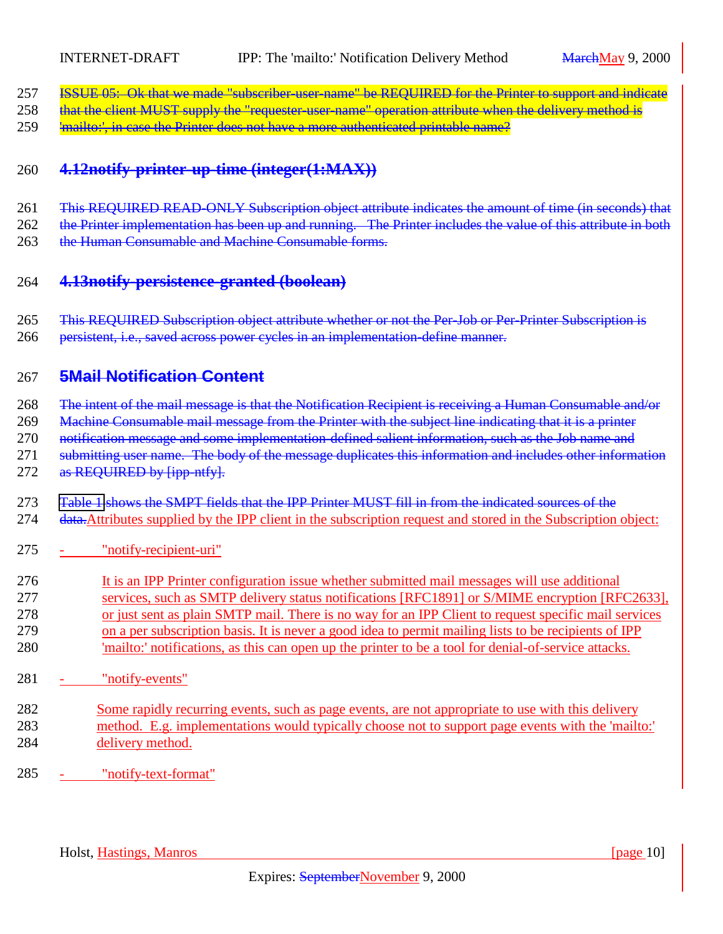- <span id="page-9-0"></span>257 ISSUE 05: Ok that we made "subscriber-user-name" be REQUIRED for the Printer to support and indicate
- 258 that the client MUST supply the "requester-user-name" operation attribute when the delivery method is
- 259 <del>Imailto:', in case the Printer does not have a more authenticated printable name?</del>

#### 260 **4.12notify-printer-up-time (integer(1:MAX))**

- 261 This REQUIRED READ-ONLY Subscription object attribute indicates the amount of time (in seconds) that
- 262 the Printer implementation has been up and running. The Printer includes the value of this attribute in both
- 263 the Human Consumable and Machine Consumable forms.
- 264 **4.13notify-persistence-granted (boolean)**
- 265 This REQUIRED Subscription object attribute whether or not the Per-Job or Per-Printer Subscription is
- 266 persistent, i.e., saved across power cycles in an implementation-define manner.

#### 267 **5Mail Notification Content**

- 268 The intent of the mail message is that the Notification Recipient is receiving a Human Consumable and/or
- 269 Machine Consumable mail message from the Printer with the subject line indicating that it is a printer
- 270 notification message and some implementation-defined salient information, such as the Job name and
- 271 submitting user name. The body of the message duplicates this information and includes other information 272 as REQUIRED by [ipp-ntfy].
- 273 [Table 1](#page-11-0) shows the SMPT fields that the IPP Printer MUST fill in from the indicated sources of the 274 <del>data.</del>Attributes supplied by the IPP client in the subscription request and stored in the Subscription object:
- 275 "notify-recipient-uri"
- 276 It is an IPP Printer configuration issue whether submitted mail messages will use additional 277 services, such as SMTP delivery status notifications [RFC1891] or S/MIME encryption [RFC2633], 278 or just sent as plain SMTP mail. There is no way for an IPP Client to request specific mail services
- 279 on a per subscription basis. It is never a good idea to permit mailing lists to be recipients of IPP
- 280 'mailto:' notifications, as this can open up the printer to be a tool for denial-of-service attacks.
- 281 "notify-events"
- 282 Some rapidly recurring events, such as page events, are not appropriate to use with this delivery 283 method. E.g. implementations would typically choose not to support page events with the 'mailto:' 284 delivery method.
- 285 "notify-text-format"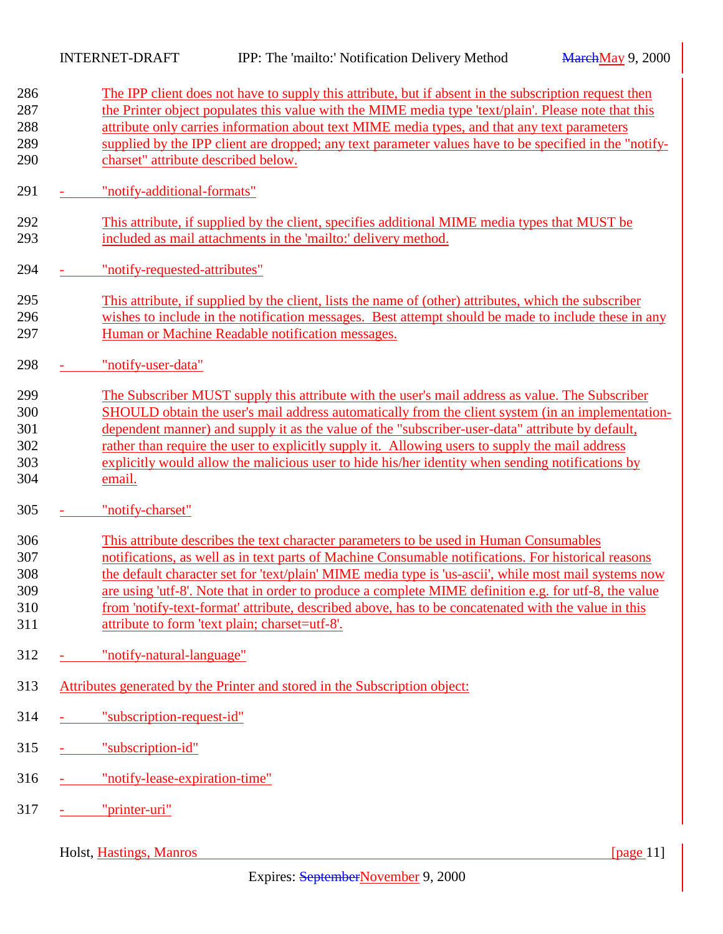| 286<br>287                             | The IPP client does not have to supply this attribute, but if absent in the subscription request then                                                                                                                                                                                                                                                                                                                                                                                                                                                                    |  |  |
|----------------------------------------|--------------------------------------------------------------------------------------------------------------------------------------------------------------------------------------------------------------------------------------------------------------------------------------------------------------------------------------------------------------------------------------------------------------------------------------------------------------------------------------------------------------------------------------------------------------------------|--|--|
| 288                                    | the Printer object populates this value with the MIME media type 'text/plain'. Please note that this<br>attribute only carries information about text MIME media types, and that any text parameters                                                                                                                                                                                                                                                                                                                                                                     |  |  |
| 289                                    | supplied by the IPP client are dropped; any text parameter values have to be specified in the "notify-                                                                                                                                                                                                                                                                                                                                                                                                                                                                   |  |  |
| 290                                    | charset" attribute described below.                                                                                                                                                                                                                                                                                                                                                                                                                                                                                                                                      |  |  |
| 291                                    | "notify-additional-formats"                                                                                                                                                                                                                                                                                                                                                                                                                                                                                                                                              |  |  |
| 292<br>293                             | This attribute, if supplied by the client, specifies additional MIME media types that MUST be<br>included as mail attachments in the 'mailto:' delivery method.                                                                                                                                                                                                                                                                                                                                                                                                          |  |  |
| 294                                    | "notify-requested-attributes"                                                                                                                                                                                                                                                                                                                                                                                                                                                                                                                                            |  |  |
| 295<br>296<br>297                      | This attribute, if supplied by the client, lists the name of (other) attributes, which the subscriber<br>wishes to include in the notification messages. Best attempt should be made to include these in any<br>Human or Machine Readable notification messages.                                                                                                                                                                                                                                                                                                         |  |  |
| 298                                    | "notify-user-data"                                                                                                                                                                                                                                                                                                                                                                                                                                                                                                                                                       |  |  |
| 299<br>300<br>301<br>302<br>303<br>304 | The Subscriber MUST supply this attribute with the user's mail address as value. The Subscriber<br>SHOULD obtain the user's mail address automatically from the client system (in an implementation-<br>dependent manner) and supply it as the value of the "subscriber-user-data" attribute by default,<br>rather than require the user to explicitly supply it. Allowing users to supply the mail address<br>explicitly would allow the malicious user to hide his/her identity when sending notifications by<br>email.                                                |  |  |
| 305                                    | "notify-charset"                                                                                                                                                                                                                                                                                                                                                                                                                                                                                                                                                         |  |  |
| 306<br>307<br>308<br>309<br>310<br>311 | This attribute describes the text character parameters to be used in Human Consumables<br>notifications, as well as in text parts of Machine Consumable notifications. For historical reasons<br>the default character set for 'text/plain' MIME media type is 'us-ascii', while most mail systems now<br>are using 'utf-8'. Note that in order to produce a complete MIME definition e.g. for utf-8, the value<br>from 'notify-text-format' attribute, described above, has to be concatenated with the value in this<br>attribute to form 'text plain; charset=utf-8'. |  |  |
| 312                                    | "notify-natural-language"                                                                                                                                                                                                                                                                                                                                                                                                                                                                                                                                                |  |  |
| 313                                    | Attributes generated by the Printer and stored in the Subscription object:                                                                                                                                                                                                                                                                                                                                                                                                                                                                                               |  |  |
| 314                                    | "subscription-request-id"                                                                                                                                                                                                                                                                                                                                                                                                                                                                                                                                                |  |  |
| 315                                    | "subscription-id"                                                                                                                                                                                                                                                                                                                                                                                                                                                                                                                                                        |  |  |
| 316                                    | "notify-lease-expiration-time"                                                                                                                                                                                                                                                                                                                                                                                                                                                                                                                                           |  |  |
| 317                                    | "printer-uri"                                                                                                                                                                                                                                                                                                                                                                                                                                                                                                                                                            |  |  |
|                                        | Holst, Hastings, Manros<br>[ $page 11$ ]                                                                                                                                                                                                                                                                                                                                                                                                                                                                                                                                 |  |  |
|                                        | Expires: SeptemberNovember 9, 2000                                                                                                                                                                                                                                                                                                                                                                                                                                                                                                                                       |  |  |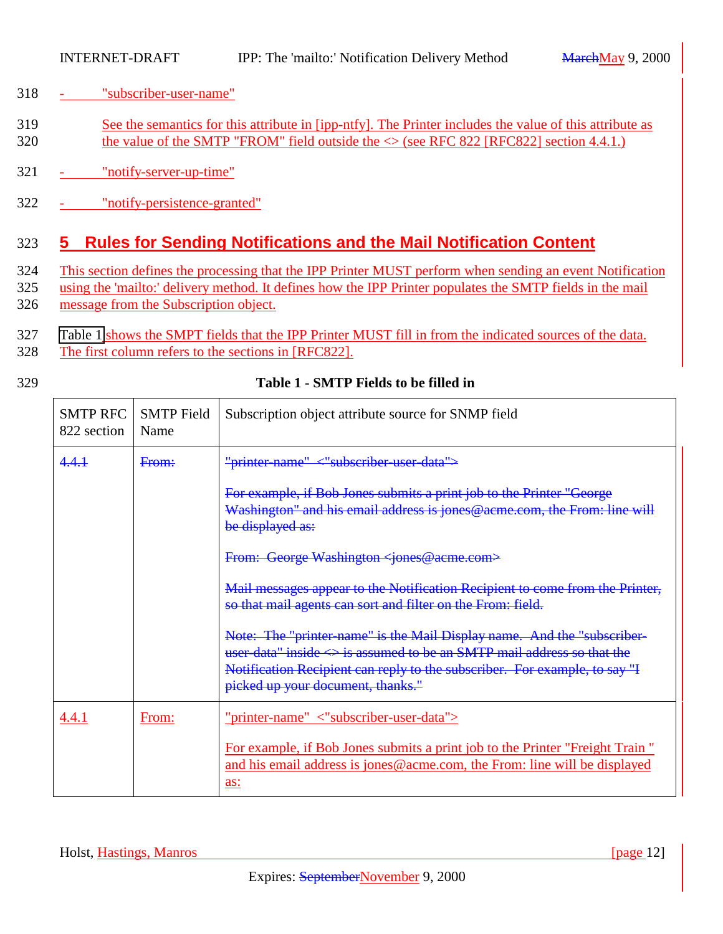- <span id="page-11-0"></span>318 - "subscriber-user-name"
- 319 See the semantics for this attribute in [ipp-ntfy]. The Printer includes the value of this attribute as 320 the value of the SMTP "FROM" field outside the  $\leq$  (see RFC 822 [RFC822] section 4.4.1.)
- 321 "notify-server-up-time"
- 322 "notify-persistence-granted"

## 323 **5 Rules for Sending Notifications and the Mail Notification Content**

- 324 This section defines the processing that the IPP Printer MUST perform when sending an event Notification 325 using the 'mailto:' delivery method. It defines how the IPP Printer populates the SMTP fields in the mail
- 326 message from the Subscription object.
- 327 Table 1 shows the SMPT fields that the IPP Printer MUST fill in from the indicated sources of the data. 328 The first column refers to the sections in [RFC822].
- 

| <b>SMTP RFC</b><br>822 section | <b>SMTP</b> Field<br>Name | Subscription object attribute source for SNMP field                                                                                                                                                                                                                                 |
|--------------------------------|---------------------------|-------------------------------------------------------------------------------------------------------------------------------------------------------------------------------------------------------------------------------------------------------------------------------------|
| 4.4.1                          | From:                     | "printer-name" <"subscriber-user-data">                                                                                                                                                                                                                                             |
|                                |                           | For example, if Bob Jones submits a print job to the Printer "George<br>Washington" and his email address is jones@acme.com, the From: line will<br>be displayed as:                                                                                                                |
|                                |                           | From: George Washington <jones@acme.com></jones@acme.com>                                                                                                                                                                                                                           |
|                                |                           | Mail messages appear to the Notification Recipient to come from the Printer,<br>so that mail agents can sort and filter on the From: field.                                                                                                                                         |
|                                |                           | Note: The "printer-name" is the Mail Display name. And the "subscriber-<br>user-data" inside $\Leftrightarrow$ is assumed to be an SMTP mail address so that the<br>Notification Recipient can reply to the subscriber. For example, to say "I<br>picked up your document, thanks." |
| 4.4.1                          | From:                     | "printer-name" <"subscriber-user-data">                                                                                                                                                                                                                                             |
|                                |                           | For example, if Bob Jones submits a print job to the Printer "Freight Train"<br>and his email address is jones@acme.com, the From: line will be displayed<br>as:                                                                                                                    |

#### 329 **Table 1 - SMTP Fields to be filled in**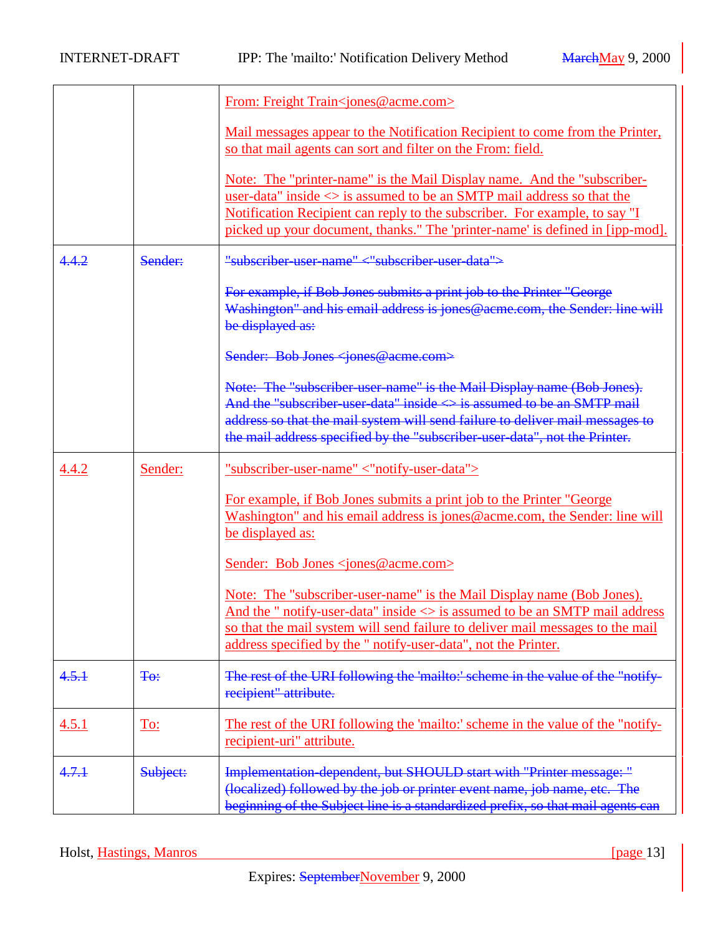<span id="page-12-0"></span>

|       |                | From: Freight Train <jones@acme.com></jones@acme.com>                                                                                                                                                                                                                                                                           |
|-------|----------------|---------------------------------------------------------------------------------------------------------------------------------------------------------------------------------------------------------------------------------------------------------------------------------------------------------------------------------|
|       |                | Mail messages appear to the Notification Recipient to come from the Printer,<br>so that mail agents can sort and filter on the From: field.                                                                                                                                                                                     |
|       |                | Note: The "printer-name" is the Mail Display name. And the "subscriber-<br>user-data" inside $\langle \rangle$ is assumed to be an SMTP mail address so that the<br>Notification Recipient can reply to the subscriber. For example, to say "I<br>picked up your document, thanks." The 'printer-name' is defined in [ipp-mod]. |
| 4.4.2 | Sender:        | "subscriber-user-name" <"subscriber-user-data">                                                                                                                                                                                                                                                                                 |
|       |                | For example, if Bob Jones submits a print job to the Printer "George<br>Washington" and his email address is jones@acme.com, the Sender: line will<br>be displayed as:                                                                                                                                                          |
|       |                | Sender: Bob Jones <jones@acme.com></jones@acme.com>                                                                                                                                                                                                                                                                             |
|       |                | Note: The "subscriber-user-name" is the Mail Display name (Bob Jones).<br>And the "subscriber-user-data" inside $\Leftrightarrow$ is assumed to be an SMTP mail<br>address so that the mail system will send failure to deliver mail messages to<br>the mail address specified by the "subscriber user-data", not the Printer.  |
| 4.4.2 | Sender:        | "subscriber-user-name" <"notify-user-data">                                                                                                                                                                                                                                                                                     |
|       |                | For example, if Bob Jones submits a print job to the Printer "George"<br>Washington" and his email address is jones@acme.com, the Sender: line will<br>be displayed as:                                                                                                                                                         |
|       |                | Sender: Bob Jones <jones@acme.com></jones@acme.com>                                                                                                                                                                                                                                                                             |
|       |                | <u>Note: The "subscriber-user-name" is the Mail Display name (Bob Jones).</u><br>And the " notify-user-data" inside $\langle \rangle$ is assumed to be an SMTP mail address<br>so that the mail system will send failure to deliver mail messages to the mail<br>address specified by the " notify-user-data", not the Printer. |
| 4.5.1 | <del>Το:</del> | The rest of the URI following the 'mailto:' scheme in the value of the "notify-<br>recipient" attribute.                                                                                                                                                                                                                        |
| 4.5.1 | <u>To:</u>     | The rest of the URI following the 'mailto:' scheme in the value of the "notify-<br>recipient-uri" attribute.                                                                                                                                                                                                                    |
| 4.7.1 | Subject:       | Implementation-dependent, but SHOULD start with "Printer message: "<br>(localized) followed by the job or printer event name, job name, etc. The<br>beginning of the Subject line is a standardized prefix, so that mail agents can                                                                                             |

Holst, Hastings, Manros [page 13]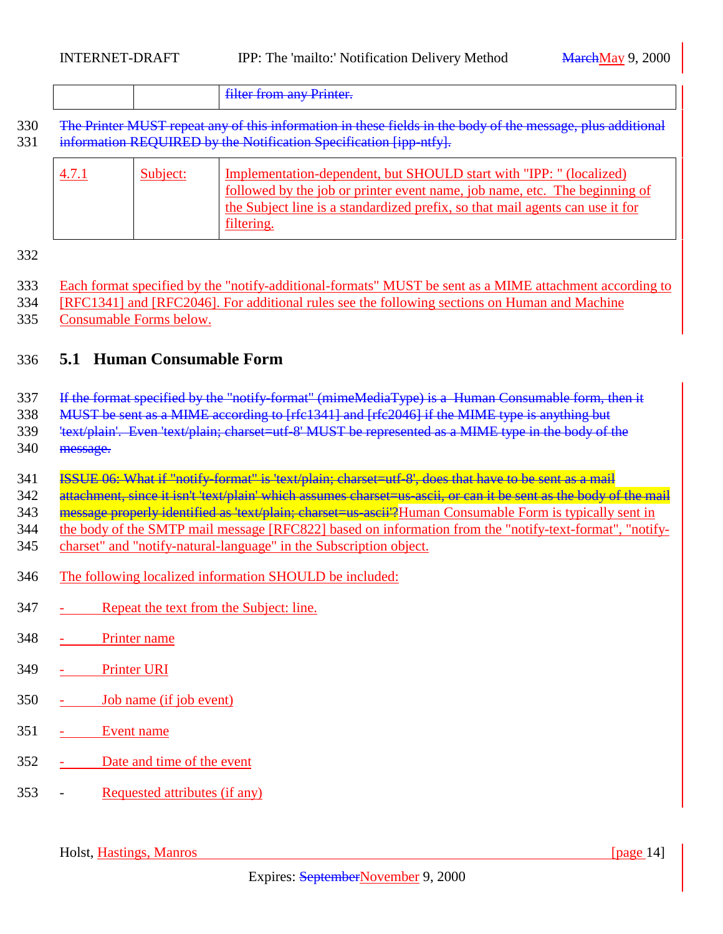|  | <del>tilter from any Printer.</del> |
|--|-------------------------------------|
|  |                                     |

#### The Printer MUST repeat any of this information in these fields in the body of the message, plus additional information REQUIRED by the Notification Specification [ipp-ntfy].

| <u>4.7.1</u> | Subject: | Implementation-dependent, but SHOULD start with "IPP: " (localized)           |
|--------------|----------|-------------------------------------------------------------------------------|
|              |          | followed by the job or printer event name, job name, etc. The beginning of    |
|              |          | the Subject line is a standardized prefix, so that mail agents can use it for |
|              |          | filtering.                                                                    |

Each format specified by the "notify-additional-formats" MUST be sent as a MIME attachment according to

[RFC1341] and [RFC2046]. For additional rules see the following sections on Human and Machine

Consumable Forms below.

#### **5.1 Human Consumable Form**

If the format specified by the "notify-format" (mimeMediaType) is a Human Consumable form, then it

MUST be sent as a MIME according to [rfc1341] and [rfc2046] if the MIME type is anything but

339 <sup>'</sup>text/plain'. Even 'text/plain; charset=utf-8' MUST be represented as a MIME type in the body of the

340 message.

**ISSUE 06: What if "notify-format" is 'text/plain; charset=utf-8', does that have to be sent as a mail** 

342 attachment, since it isn't 'text/plain' which assumes charset=us-ascii, or can it be sent as the body of the mail

343 message properly identified as 'text/plain; charset=us-ascii'?Human Consumable Form is typically sent in

the body of the SMTP mail message [RFC822] based on information from the "notify-text-format", "notify-

- charset" and "notify-natural-language" in the Subscription object.
- The following localized information SHOULD be included:
- Repeat the text from the Subject: line.
- Printer name
- Printer URI
- Job name (if job event)
- Event name
- Date and time of the event
- Requested attributes (if any)

Holst, Hastings, Manros [page 14]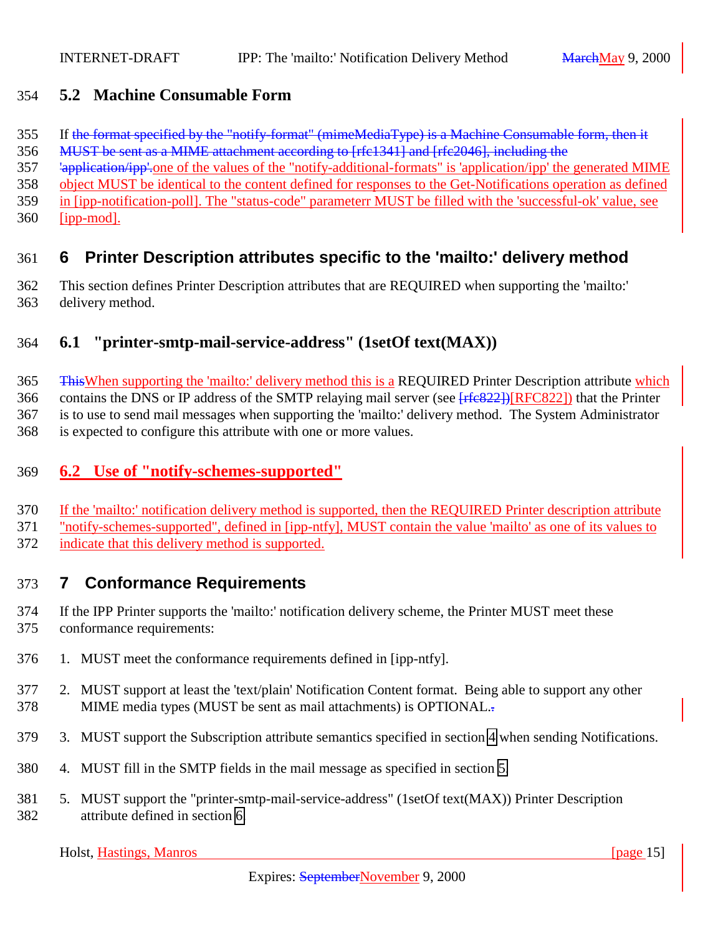### <span id="page-14-0"></span>**5.2 Machine Consumable Form**

- If the format specified by the "notify-format" (mimeMediaType) is a Machine Consumable form, then it
- MUST be sent as a MIME attachment according to [rfc1341] and [rfc2046], including the
- 357 'application/ipp'.one of the values of the "notify-additional-formats" is 'application/ipp' the generated MIME
- object MUST be identical to the content defined for responses to the Get-Notifications operation as defined
- in [ipp-notification-poll]. The "status-code" parameterr MUST be filled with the 'successful-ok' value, see
- [ipp-mod].

# **6 Printer Description attributes specific to the 'mailto:' delivery method**

 This section defines Printer Description attributes that are REQUIRED when supporting the 'mailto:' delivery method.

# **6.1 "printer-smtp-mail-service-address" (1setOf text(MAX))**

365 This When supporting the 'mailto:' delivery method this is a REQUIRED Printer Description attribute which 366 contains the DNS or IP address of the SMTP relaying mail server (see  $\frac{1}{2}$ [RFC822]) that the Printer is to use to send mail messages when supporting the 'mailto:' delivery method. The System Administrator is expected to configure this attribute with one or more values.

# **6.2 Use of "notify-schemes-supported"**

- If the 'mailto:' notification delivery method is supported, then the REQUIRED Printer description attribute
- 371 "notify-schemes-supported", defined in [ipp-ntfy], MUST contain the value 'mailto' as one of its values to
- indicate that this delivery method is supported.

# **7 Conformance Requirements**

- If the IPP Printer supports the 'mailto:' notification delivery scheme, the Printer MUST meet these conformance requirements:
- 1. MUST meet the conformance requirements defined in [ipp-ntfy].
- 2. MUST support at least the 'text/plain' Notification Content format. Being able to support any other MIME media types (MUST be sent as mail attachments) is OPTIONAL..
- 3. MUST support the Subscription attribute semantics specified in section 4 when sending Notifications.
- 4. MUST fill in the SMTP fields in the mail message as specified in section 5.
- 5. MUST support the "printer-smtp-mail-service-address" (1setOf text(MAX)) Printer Description attribute defined in section 6.

Holst, Hastings, Manros [page 15]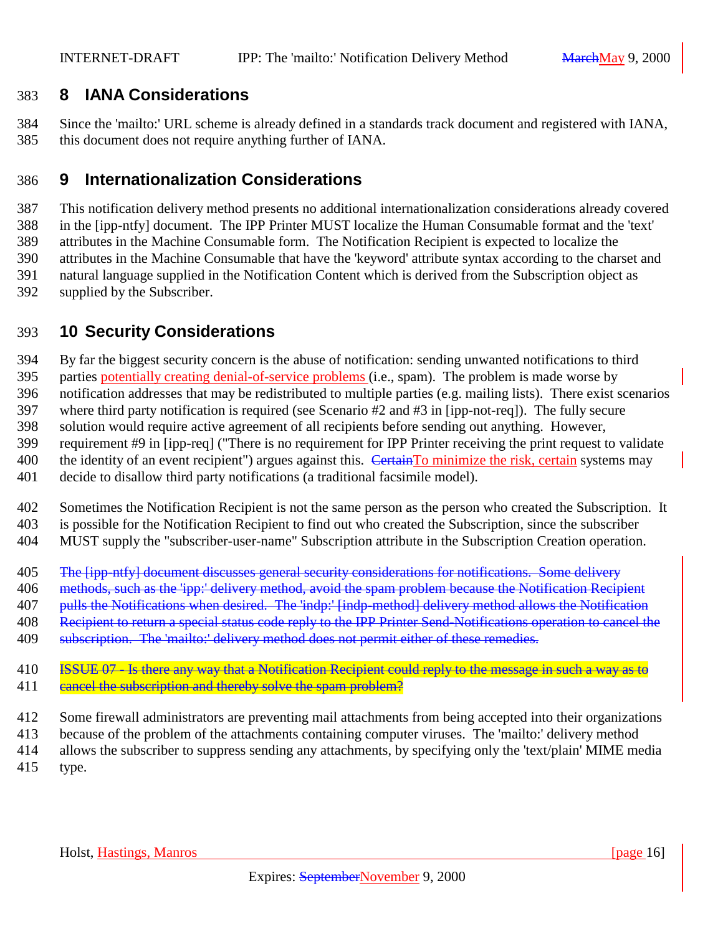### <span id="page-15-0"></span>**8 IANA Considerations**

 Since the 'mailto:' URL scheme is already defined in a standards track document and registered with IANA, this document does not require anything further of IANA.

### **9 Internationalization Considerations**

 This notification delivery method presents no additional internationalization considerations already covered in the [ipp-ntfy] document. The IPP Printer MUST localize the Human Consumable format and the 'text' attributes in the Machine Consumable form. The Notification Recipient is expected to localize the attributes in the Machine Consumable that have the 'keyword' attribute syntax according to the charset and natural language supplied in the Notification Content which is derived from the Subscription object as supplied by the Subscriber.

### **10 Security Considerations**

 By far the biggest security concern is the abuse of notification: sending unwanted notifications to third parties potentially creating denial-of-service problems (i.e., spam). The problem is made worse by notification addresses that may be redistributed to multiple parties (e.g. mailing lists). There exist scenarios where third party notification is required (see Scenario #2 and #3 in [ipp-not-req]). The fully secure solution would require active agreement of all recipients before sending out anything. However, requirement #9 in [ipp-req] ("There is no requirement for IPP Printer receiving the print request to validate 400 the identity of an event recipient") argues against this. CertainTo minimize the risk, certain systems may

decide to disallow third party notifications (a traditional facsimile model).

 Sometimes the Notification Recipient is not the same person as the person who created the Subscription. It is possible for the Notification Recipient to find out who created the Subscription, since the subscriber MUST supply the "subscriber-user-name" Subscription attribute in the Subscription Creation operation.

The [ipp-ntfy] document discusses general security considerations for notifications. Some delivery

406 methods, such as the 'ipp:' delivery method, avoid the spam problem because the Notification Recipient

407 pulls the Notifications when desired. The 'indp:' [indp-method] delivery method allows the Notification

408 Recipient to return a special status code reply to the IPP Printer Send-Notifications operation to cancel the

409 subscription. The 'mailto:' delivery method does not permit either of these remedies.

**ISSUE 07 - Is there any way that a Notification Recipient could reply to the message in such a way as to** 411 cancel the subscription and thereby solve the spam problem?

Some firewall administrators are preventing mail attachments from being accepted into their organizations

because of the problem of the attachments containing computer viruses. The 'mailto:' delivery method

allows the subscriber to suppress sending any attachments, by specifying only the 'text/plain' MIME media

type.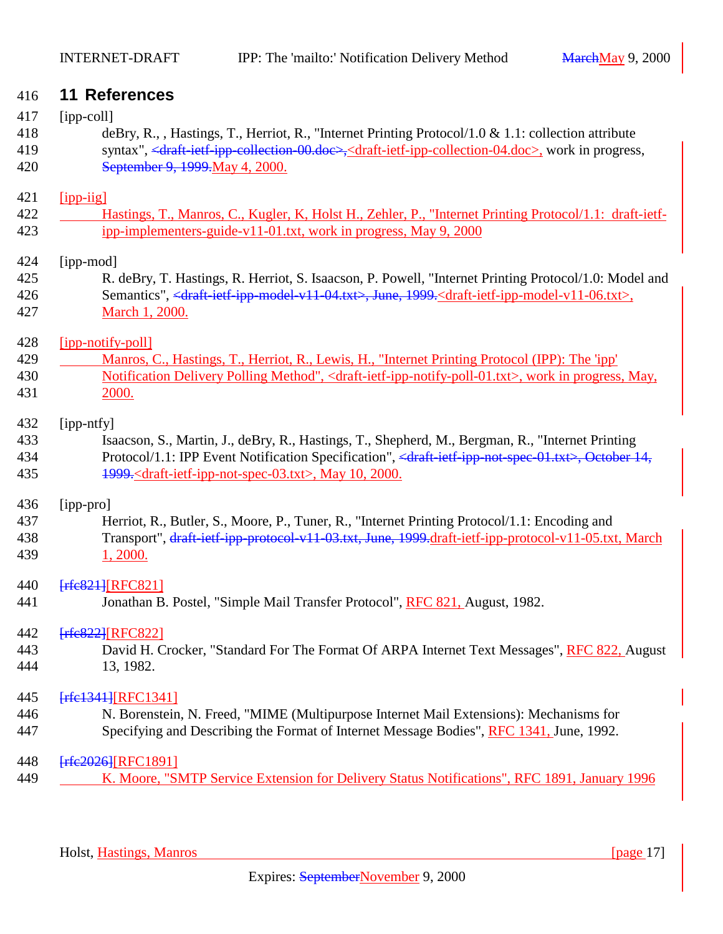<span id="page-16-0"></span>

| <b>11 References</b><br>416 |  |
|-----------------------------|--|
|-----------------------------|--|

| 417 | $[ipp\text{-}coll]$                                                                                                                                                     |
|-----|-------------------------------------------------------------------------------------------------------------------------------------------------------------------------|
| 418 | deBry, R., , Hastings, T., Herriot, R., "Internet Printing Protocol/1.0 & 1.1: collection attribute                                                                     |
| 419 | syntax", <draft-ietf-ipp-collection-00.doc>,<draft-ietf-ipp-collection-04.doc>, work in progress,</draft-ietf-ipp-collection-04.doc></draft-ietf-ipp-collection-00.doc> |
| 420 | September 9, 1999. May 4, 2000.                                                                                                                                         |
| 421 | $[$ ipp-iig]                                                                                                                                                            |
| 422 | Hastings, T., Manros, C., Kugler, K., Holst H., Zehler, P., "Internet Printing Protocol/1.1: draft-ietf-                                                                |
| 423 | ipp-implementers-guide-v11-01.txt, work in progress, May 9, 2000                                                                                                        |
| 424 | [ipp-mod]                                                                                                                                                               |
| 425 | R. deBry, T. Hastings, R. Herriot, S. Isaacson, P. Powell, "Internet Printing Protocol/1.0: Model and                                                                   |
| 426 | Semantics", <draft-ietf-ipp-model-v11-04.txt>, June, 1999.<draft-ietf-ipp-model-v11-06.txt>,</draft-ietf-ipp-model-v11-06.txt></draft-ietf-ipp-model-v11-04.txt>        |
| 427 | March 1, 2000.                                                                                                                                                          |
| 428 | [ipp-notify-poll]                                                                                                                                                       |
| 429 | Manros, C., Hastings, T., Herriot, R., Lewis, H., "Internet Printing Protocol (IPP): The 'ipp'                                                                          |
| 430 | Notification Delivery Polling Method", <draft-ietf-ipp-notify-poll-01.txt>, work in progress, May,</draft-ietf-ipp-notify-poll-01.txt>                                  |
| 431 | 2000.                                                                                                                                                                   |
| 432 | [ipp-ntfy]                                                                                                                                                              |
| 433 | Isaacson, S., Martin, J., deBry, R., Hastings, T., Shepherd, M., Bergman, R., "Internet Printing                                                                        |
| 434 | Protocol/1.1: IPP Event Notification Specification", <draft-ietf-ipp-not-spec-01.txt>, October 14,</draft-ietf-ipp-not-spec-01.txt>                                     |
| 435 | 1999. <draft-ietf-ipp-not-spec-03.txt>, May 10, 2000.</draft-ietf-ipp-not-spec-03.txt>                                                                                  |
| 436 | [ipp-pro]                                                                                                                                                               |
| 437 | Herriot, R., Butler, S., Moore, P., Tuner, R., "Internet Printing Protocol/1.1: Encoding and                                                                            |
| 438 | Transport", draft jetf ipp protocol v11 03.txt, June, 1999.draft-ietf-ipp-protocol-v11-05.txt, March                                                                    |
| 439 | 1, 2000.                                                                                                                                                                |
| 440 | F <sub>refe821</sub> [RFC821]                                                                                                                                           |
| 441 | Jonathan B. Postel, "Simple Mail Transfer Protocol", RFC 821, August, 1982.                                                                                             |
| 442 | $[$ rfe $822$ ][RFC $822$ ]                                                                                                                                             |
| 443 | David H. Crocker, "Standard For The Format Of ARPA Internet Text Messages", RFC 822, August                                                                             |
| 444 | 13, 1982.                                                                                                                                                               |
| 445 | [refe1341][RFC1341]                                                                                                                                                     |
| 446 | N. Borenstein, N. Freed, "MIME (Multipurpose Internet Mail Extensions): Mechanisms for                                                                                  |
| 447 | Specifying and Describing the Format of Internet Message Bodies", RFC 1341, June, 1992.                                                                                 |
| 448 | $[$ $rfr$ $f$ $e$ $2026$ $[$ RFC $1891]$                                                                                                                                |
| 449 | K. Moore, "SMTP Service Extension for Delivery Status Notifications", RFC 1891, January 1996                                                                            |

Holst, Hastings, Manros [page 17]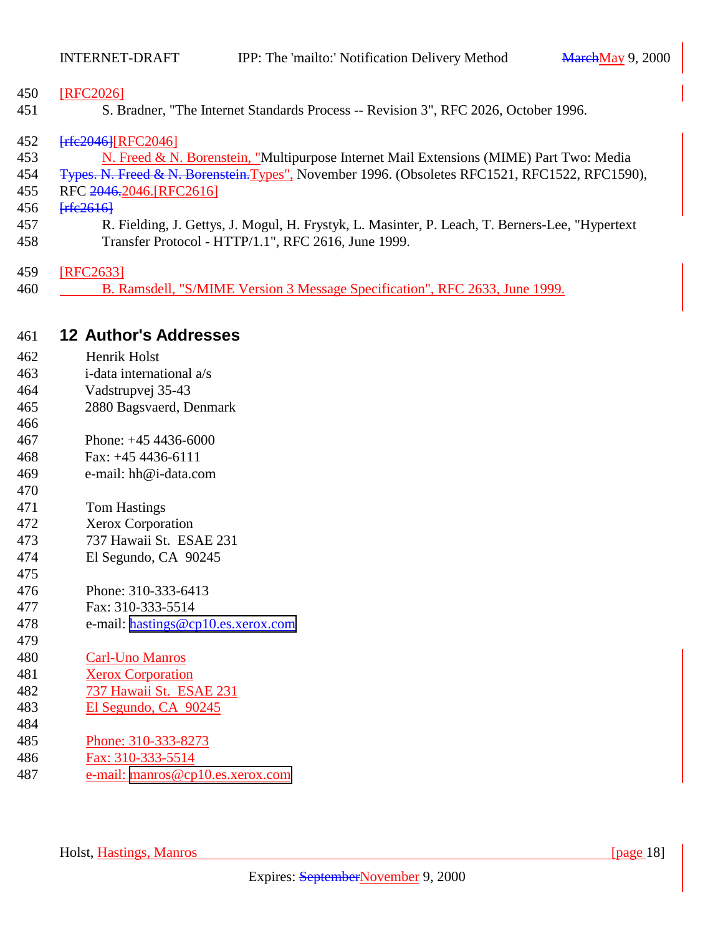#### <span id="page-17-0"></span>[RFC2026]

S. Bradner, "The Internet Standards Process -- Revision 3", RFC 2026, October 1996.

#### 452 <del>[rfc2046]</del>[RFC2046]

- N. Freed & N. Borenstein, "Multipurpose Internet Mail Extensions (MIME) Part Two: Media
- 454 Types. N. Freed & N. Borenstein. Types", November 1996. (Obsoletes RFC1521, RFC1522, RFC1590),

# 455 RFC 2046.2046.[RFC2616]

- 456 <del>[rfc2616]</del>
- R. Fielding, J. Gettys, J. Mogul, H. Frystyk, L. Masinter, P. Leach, T. Berners-Lee, "Hypertext Transfer Protocol - HTTP/1.1", RFC 2616, June 1999.

#### [RFC2633]

460 B. Ramsdell, "S/MIME Version 3 Message Specification", RFC 2633, June 1999.

### **12 Author's Addresses**

- Henrik Holst
- i-data international a/s
- Vadstrupvej 35-43
- 2880 Bagsvaerd, Denmark
- Phone: +45 4436-6000
- Fax: +45 4436-6111
- e-mail: hh@i-data.com
- Tom Hastings

- Xerox Corporation
- 737 Hawaii St. ESAE 231
- El Segundo, CA 90245
- Phone: 310-333-6413
- Fax: 310-333-5514
- e-mail: [hastings@cp10.es.xerox.com](mailto:hastings@cp10.es.xerox.com)
- Carl-Uno Manros
- Xerox Corporation
- 737 Hawaii St. ESAE 231
- El Segundo, CA 90245
- Phone: 310-333-8273
- Fax: 310-333-5514
- e-mail: [manros@cp10.es.xerox.com](mailto:hastings@cp10.es.xerox.com)